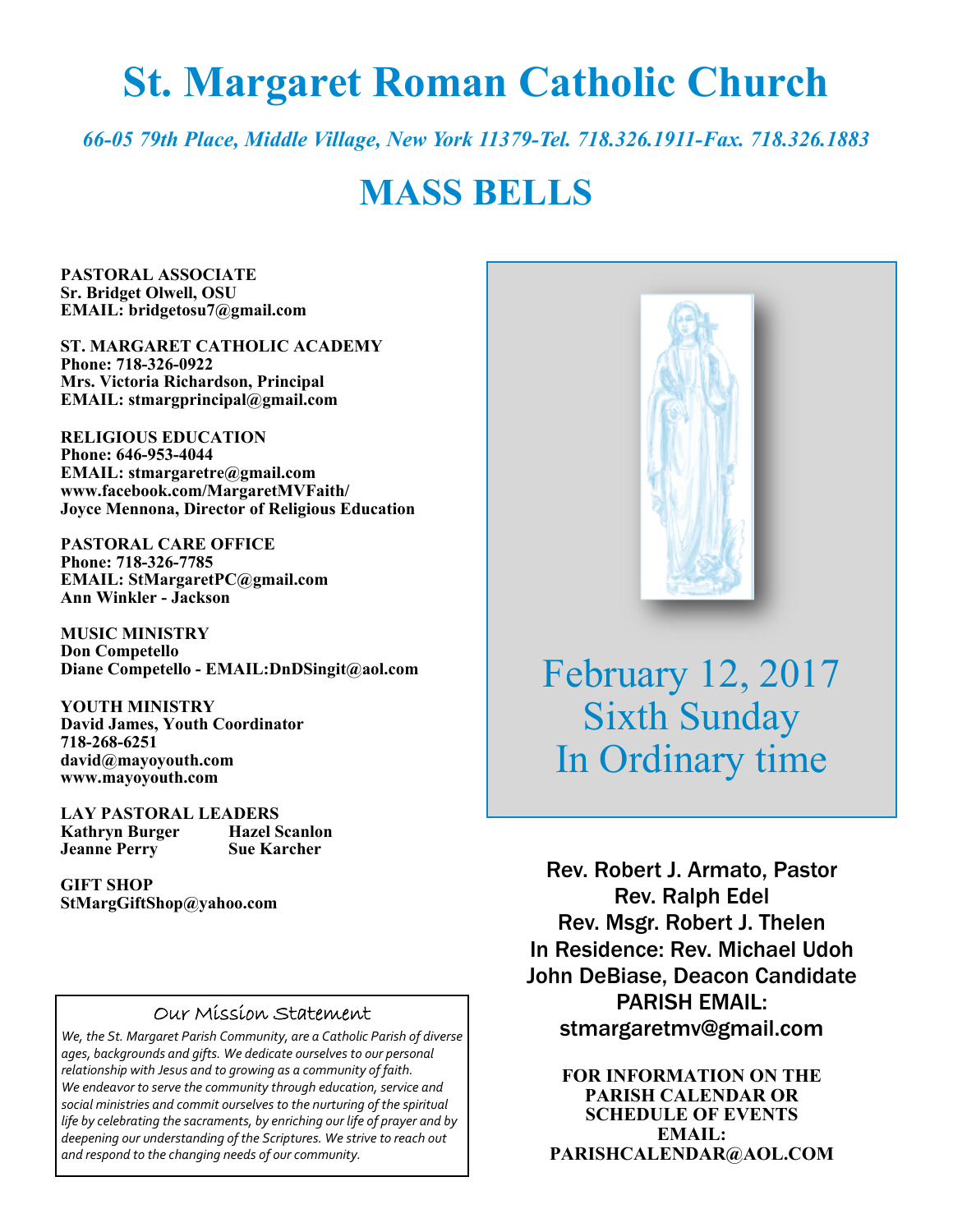# **St. Margaret Roman Catholic Church**

*66-05 79th Place, Middle Village, New York 11379-Tel. 718.326.1911-Fax. 718.326.1883* 

# **MASS BELLS**

**PASTORAL ASSOCIATE Sr. Bridget Olwell, OSU EMAIL: bridgetosu7@gmail.com** 

**ST. MARGARET CATHOLIC ACADEMY Phone: 718-326-0922 Mrs. Victoria Richardson, Principal EMAIL: stmargprincipal@gmail.com** 

**RELIGIOUS EDUCATION Phone: 646-953-4044 EMAIL: stmargaretre@gmail.com www.facebook.com/MargaretMVFaith/ Joyce Mennona, Director of Religious Education** 

**PASTORAL CARE OFFICE Phone: 718-326-7785 EMAIL: StMargaretPC@gmail.com Ann Winkler - Jackson** 

**MUSIC MINISTRY Don Competello Diane Competello - EMAIL:DnDSingit@aol.com** 

**YOUTH MINISTRY David James, Youth Coordinator 718-268-6251 david@mayoyouth.com www.mayoyouth.com** 

**LAY PASTORAL LEADERS Kathryn Burger Jeanne Perry Sue Karcher** 

**GIFT SHOP StMargGiftShop@yahoo.com**

#### Our Mission Statement

*We, the St. Margaret Parish Community, are a Catholic Parish of diverse ages, backgrounds and gifts. We dedicate ourselves to our personal relationship with Jesus and to growing as a community of faith. We endeavor to serve the community through education, service and social ministries and commit ourselves to the nurturing of the spiritual life by celebrating the sacraments, by enriching our life of prayer and by deepening our understanding of the Scriptures. We strive to reach out and respond to the changing needs of our community.*



February 12, 2017 Sixth Sunday In Ordinary time

Rev. Robert J. Armato, Pastor Rev. Ralph Edel Rev. Msgr. Robert J. Thelen In Residence: Rev. Michael Udoh John DeBiase, Deacon Candidate PARISH EMAIL: stmargaretmv@gmail.com

**FOR INFORMATION ON THE PARISH CALENDAR OR SCHEDULE OF EVENTS EMAIL: PARISHCALENDAR@AOL.COM**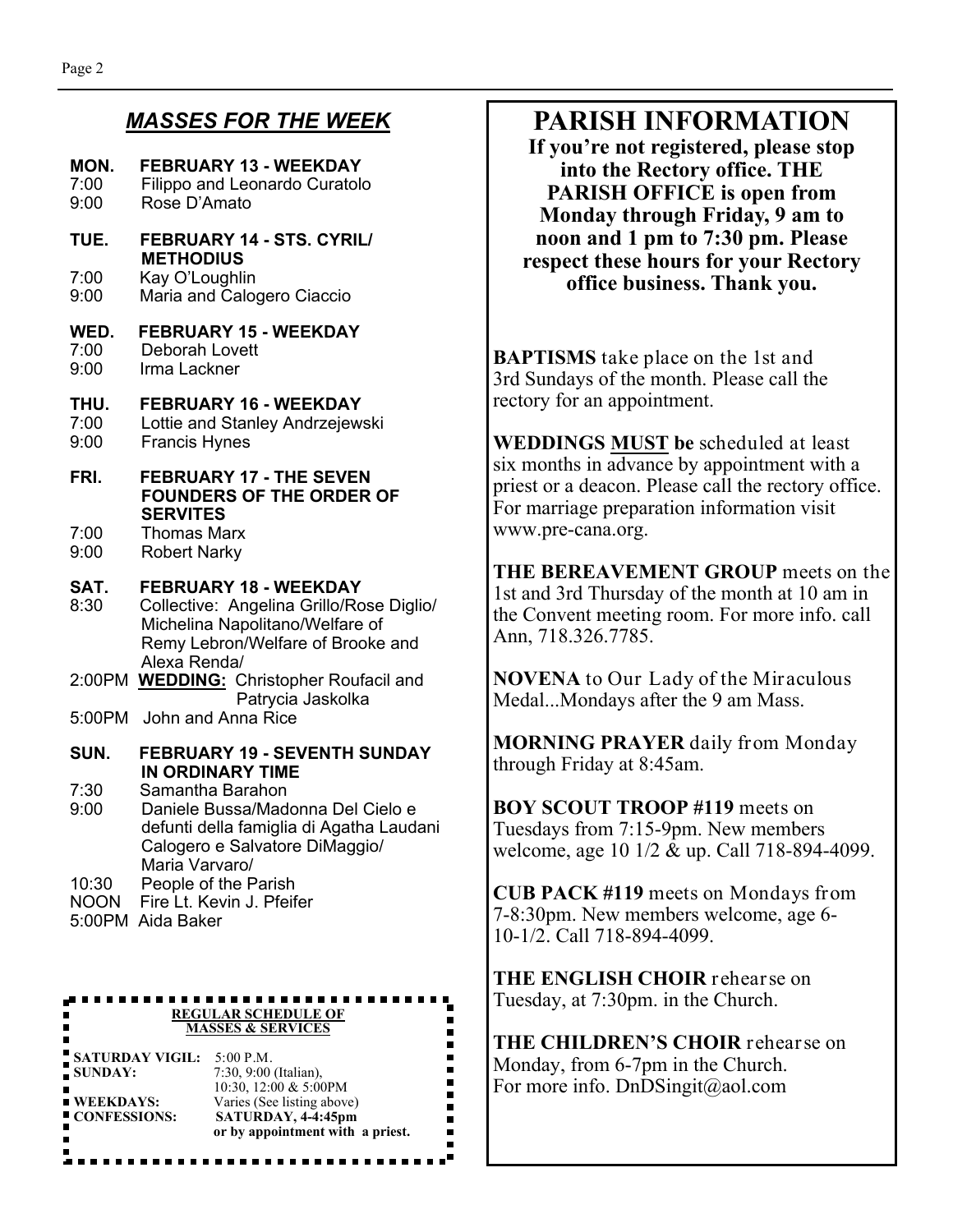#### *MASSES FOR THE WEEK*

| MON.<br>7:00<br>9:00                                                             | <b>FEBRUARY 13 - WEEKDAY</b><br>Filippo and Leonardo Curatolo<br>Rose D'Amato                                                                                    |  |
|----------------------------------------------------------------------------------|------------------------------------------------------------------------------------------------------------------------------------------------------------------|--|
| TUE.                                                                             | FEBRUARY 14 - STS. CYRIL/<br><b>METHODIUS</b>                                                                                                                    |  |
| 7:00<br>9:00                                                                     | Kay O'Loughlin<br>Maria and Calogero Ciaccio                                                                                                                     |  |
| WED.<br>7:00<br>9:00                                                             | <b>FEBRUARY 15 - WEEKDAY</b><br>Deborah Lovett<br>Irma Lackner                                                                                                   |  |
| THU.<br>7:00<br>9:00                                                             | <b>FEBRUARY 16 - WEEKDAY</b><br>Lottie and Stanley Andrzejewski<br><b>Francis Hynes</b>                                                                          |  |
| FRI.                                                                             | <b>FEBRUARY 17 - THE SEVEN</b><br><b>FOUNDERS OF THE ORDER OF</b>                                                                                                |  |
| 7:00<br>9:00                                                                     | <b>SERVITES</b><br><b>Thomas Marx</b><br><b>Robert Narky</b>                                                                                                     |  |
| SAT.<br>8:30                                                                     | <b>FEBRUARY 18 - WEEKDAY</b><br>Collective: Angelina Grillo/Rose Diglio/<br>Michelina Napolitano/Welfare of<br>Remy Lebron/Welfare of Brooke and<br>Alexa Renda/ |  |
|                                                                                  | 2:00PM WEDDING: Christopher Roufacil and<br>Patrycia Jaskolka                                                                                                    |  |
| 5:00PM                                                                           | John and Anna Rice                                                                                                                                               |  |
| SUN.                                                                             | <b>FEBRUARY 19 - SEVENTH SUNDAY</b><br><b>IN ORDINARY TIME</b>                                                                                                   |  |
| 7:30<br>9:00                                                                     | Samantha Barahon<br>Daniele Bussa/Madonna Del Cielo e<br>defunti della famiglia di Agatha Laudani<br>Calogero e Salvatore DiMaggio/<br>Maria Varvaro/            |  |
| 10:30<br><b>NOON</b>                                                             | People of the Parish<br>Fire Lt. Kevin J. Pfeifer<br>5:00PM Aida Baker                                                                                           |  |
|                                                                                  |                                                                                                                                                                  |  |
| <b>REGULAR SCHEDULE OF</b><br><b>MASSES &amp; SERVICES</b>                       |                                                                                                                                                                  |  |
| <b>SATURDAY VIGIL:</b><br>$5:00$ P.M.<br>7:30, 9:00 (Italian),<br><b>SUNDAY:</b> |                                                                                                                                                                  |  |
| $\blacksquare$ WEEKDAYS:<br><b>CONFESSIONS:</b>                                  | 10:30, 12:00 & 5:00PM<br>Varies (See listing above)<br>SATURDAY, 4-4:45pm<br>or by appointment with a priest.                                                    |  |

### **PARISH INFORMATION**

**If you're not registered, please stop into the Rectory office. THE PARISH OFFICE is open from Monday through Friday, 9 am to noon and 1 pm to 7:30 pm. Please respect these hours for your Rectory office business. Thank you.** 

**BAPTISMS** take place on the 1st and 3rd Sundays of the month. Please call the rectory for an appointment.

**WEDDINGS MUST be** scheduled at least six months in advance by appointment with a priest or a deacon. Please call the rectory office. For marriage preparation information visit www.pre-cana.org.

**THE BEREAVEMENT GROUP** meets on the 1st and 3rd Thursday of the month at 10 am in the Convent meeting room. For more info. call Ann, 718.326.7785.

**NOVENA** to Our Lady of the Miraculous Medal...Mondays after the 9 am Mass.

**MORNING PRAYER** daily from Monday through Friday at 8:45am.

**BOY SCOUT TROOP #119** meets on Tuesdays from 7:15-9pm. New members welcome, age 10 1/2 & up. Call 718-894-4099.

**CUB PACK #119** meets on Mondays from 7-8:30pm. New members welcome, age 6- 10-1/2. Call 718-894-4099.

**THE ENGLISH CHOIR** rehearse on Tuesday, at 7:30pm. in the Church.

**THE CHILDREN'S CHOIR** rehearse on Monday, from 6-7pm in the Church. For more info. DnDSingit@aol.com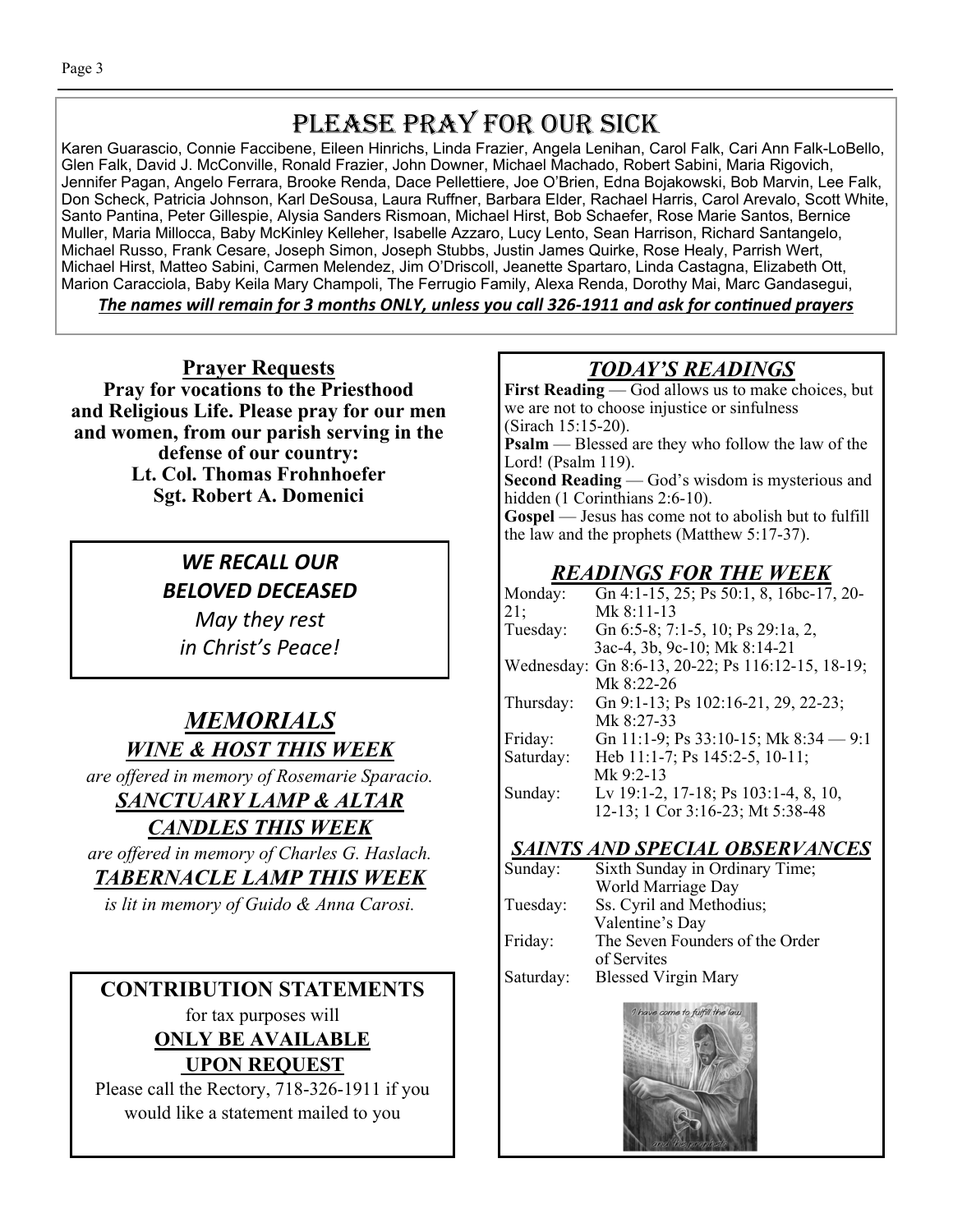# PLEASE PRAY FOR OUR SICK

Karen Guarascio, Connie Faccibene, Eileen Hinrichs, Linda Frazier, Angela Lenihan, Carol Falk, Cari Ann Falk-LoBello, Glen Falk, David J. McConville, Ronald Frazier, John Downer, Michael Machado, Robert Sabini, Maria Rigovich, Jennifer Pagan, Angelo Ferrara, Brooke Renda, Dace Pellettiere, Joe O'Brien, Edna Bojakowski, Bob Marvin, Lee Falk, Don Scheck, Patricia Johnson, Karl DeSousa, Laura Ruffner, Barbara Elder, Rachael Harris, Carol Arevalo, Scott White, Santo Pantina, Peter Gillespie, Alysia Sanders Rismoan, Michael Hirst, Bob Schaefer, Rose Marie Santos, Bernice Muller, Maria Millocca, Baby McKinley Kelleher, Isabelle Azzaro, Lucy Lento, Sean Harrison, Richard Santangelo, Michael Russo, Frank Cesare, Joseph Simon, Joseph Stubbs, Justin James Quirke, Rose Healy, Parrish Wert, Michael Hirst, Matteo Sabini, Carmen Melendez, Jim O'Driscoll, Jeanette Spartaro, Linda Castagna, Elizabeth Ott, Marion Caracciola, Baby Keila Mary Champoli, The Ferrugio Family, Alexa Renda, Dorothy Mai, Marc Gandasegui,

The names will remain for 3 months ONLY, unless you call 326-1911 and ask for continued prayers

**Prayer Requests Pray for vocations to the Priesthood and Religious Life. Please pray for our men and women, from our parish serving in the defense of our country: Lt. Col. Thomas Frohnhoefer Sgt. Robert A. Domenici** 

> *WE RECALL OUR BELOVED DECEASED*

*May they rest in Christ's Peace!* 

# *MEMORIALS WINE & HOST THIS WEEK*

*are offered in memory of Rosemarie Sparacio.* 

# *SANCTUARY LAMP & ALTAR*

*CANDLES THIS WEEK are offered in memory of Charles G. Haslach.* 

#### *TABERNACLE LAMP THIS WEEK*

*is lit in memory of Guido & Anna Carosi.* 

#### **CONTRIBUTION STATEMENTS** Saturday: Blessed Virgin Mary for tax purposes will **ONLY BE AVAILABLE UPON REQUEST**

Please call the Rectory, 718-326-1911 if you would like a statement mailed to you

## *TODAY'S READINGS*

First Reading — God allows us to make choices, but we are not to choose injustice or sinfulness (Sirach 15:15-20). **Psalm** — Blessed are they who follow the law of the Lord! (Psalm 119). **Second Reading** — God's wisdom is mysterious and hidden (1 Corinthians 2:6-10). **Gospel** — Jesus has come not to abolish but to fulfill the law and the prophets (Matthew 5:17-37).

#### *READINGS FOR THE WEEK*

| Monday:    | Gn 4:1-15, 25; Ps 50:1, 8, 16bc-17, 20- |
|------------|-----------------------------------------|
| 21;        | Mk 8:11-13                              |
| Tuesday:   | Gn 6:5-8; 7:1-5, 10; Ps 29:1a, 2,       |
|            | 3ac-4, 3b, 9c-10; Mk 8:14-21            |
| Wednesday: | Gn 8:6-13, 20-22; Ps 116:12-15, 18-19;  |
|            | Mk 8:22-26                              |
| Thursday:  | Gn 9:1-13; Ps 102:16-21, 29, 22-23;     |
|            | Mk 8:27-33                              |
| Friday:    | Gn 11:1-9; Ps 33:10-15; Mk 8:34 - 9:1   |
| Saturday:  | Heb 11:1-7; Ps 145:2-5, 10-11;          |
|            | Mk 9:2-13                               |
| Sunday:    | Lv 19:1-2, 17-18; Ps 103:1-4, 8, 10,    |
|            | 12-13; 1 Cor 3:16-23; Mt 5:38-48        |
|            |                                         |

#### *SAINTS AND SPECIAL OBSERVANCES*

Sunday: Sixth Sunday in Ordinary Time; World Marriage Day Tuesday: Ss. Cyril and Methodius; Valentine's Day Friday: The Seven Founders of the Order of Servites<br>Saturday: Blessed Vi

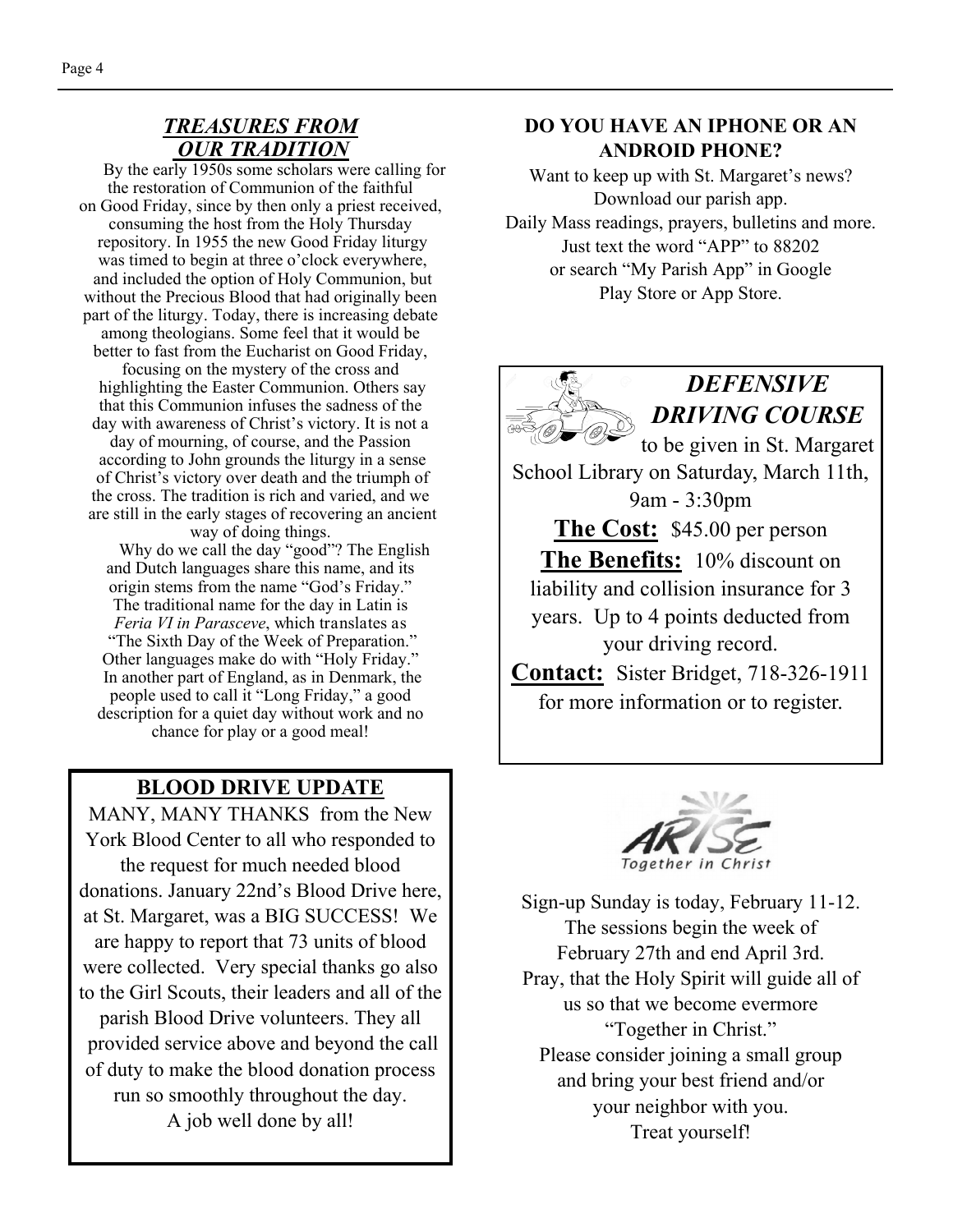#### *TREASURES FROM OUR TRADITION*

 By the early 1950s some scholars were calling for the restoration of Communion of the faithful on Good Friday, since by then only a priest received, consuming the host from the Holy Thursday repository. In 1955 the new Good Friday liturgy was timed to begin at three o'clock everywhere, and included the option of Holy Communion, but without the Precious Blood that had originally been part of the liturgy. Today, there is increasing debate among theologians. Some feel that it would be better to fast from the Eucharist on Good Friday, focusing on the mystery of the cross and highlighting the Easter Communion. Others say that this Communion infuses the sadness of the day with awareness of Christ's victory. It is not a day of mourning, of course, and the Passion according to John grounds the liturgy in a sense of Christ's victory over death and the triumph of the cross. The tradition is rich and varied, and we are still in the early stages of recovering an ancient way of doing things.

 Why do we call the day "good"? The English and Dutch languages share this name, and its origin stems from the name "God's Friday." The traditional name for the day in Latin is *Feria VI in Parasceve*, which translates as "The Sixth Day of the Week of Preparation." Other languages make do with "Holy Friday." In another part of England, as in Denmark, the people used to call it "Long Friday," a good description for a quiet day without work and no chance for play or a good meal!

#### **BLOOD DRIVE UPDATE**

MANY, MANY THANKS from the New York Blood Center to all who responded to the request for much needed blood donations. January 22nd's Blood Drive here, at St. Margaret, was a BIG SUCCESS! We are happy to report that 73 units of blood were collected. Very special thanks go also to the Girl Scouts, their leaders and all of the parish Blood Drive volunteers. They all provided service above and beyond the call of duty to make the blood donation process run so smoothly throughout the day. A job well done by all!

#### **DO YOU HAVE AN IPHONE OR AN ANDROID PHONE?**

Want to keep up with St. Margaret's news? Download our parish app. Daily Mass readings, prayers, bulletins and more. Just text the word "APP" to 88202 or search "My Parish App" in Google Play Store or App Store.





Sign-up Sunday is today, February 11-12. The sessions begin the week of February 27th and end April 3rd. Pray, that the Holy Spirit will guide all of us so that we become evermore "Together in Christ." Please consider joining a small group and bring your best friend and/or your neighbor with you. Treat yourself!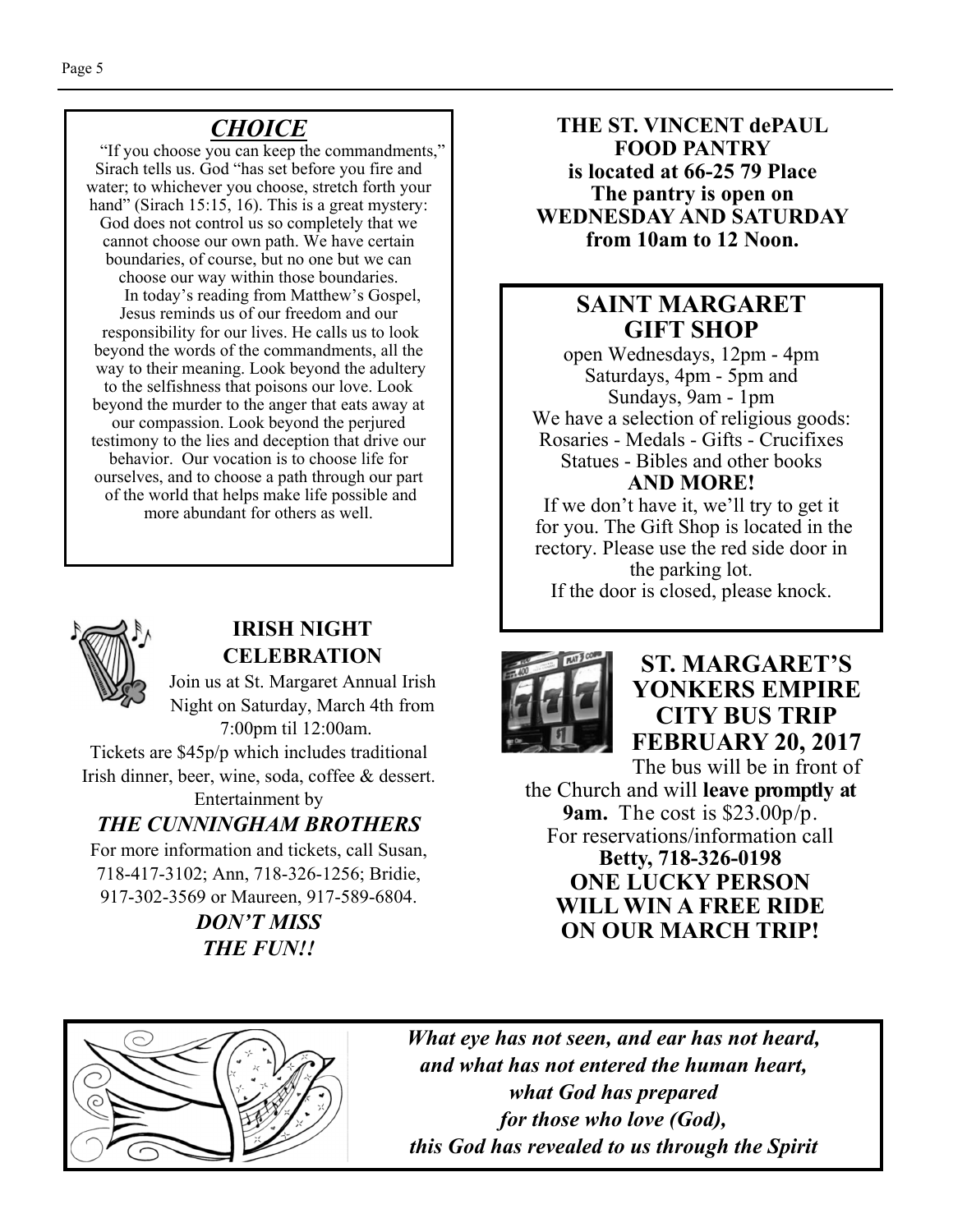## *CHOICE*

 "If you choose you can keep the commandments," Sirach tells us. God "has set before you fire and water; to whichever you choose, stretch forth your hand" (Sirach 15:15, 16). This is a great mystery: God does not control us so completely that we cannot choose our own path. We have certain boundaries, of course, but no one but we can choose our way within those boundaries. In today's reading from Matthew's Gospel, Jesus reminds us of our freedom and our responsibility for our lives. He calls us to look beyond the words of the commandments, all the way to their meaning. Look beyond the adultery to the selfishness that poisons our love. Look beyond the murder to the anger that eats away at our compassion. Look beyond the perjured testimony to the lies and deception that drive our behavior. Our vocation is to choose life for ourselves, and to choose a path through our part of the world that helps make life possible and more abundant for others as well.



#### **IRISH NIGHT CELEBRATION**

Join us at St. Margaret Annual Irish Night on Saturday, March 4th from 7:00pm til 12:00am.

Tickets are \$45p/p which includes traditional Irish dinner, beer, wine, soda, coffee & dessert.

Entertainment by *THE CUNNINGHAM BROTHERS* 

For more information and tickets, call Susan, 718-417-3102; Ann, 718-326-1256; Bridie, 917-302-3569 or Maureen, 917-589-6804.

> *DON'T MISS THE FUN!!*

**THE ST. VINCENT dePAUL FOOD PANTRY is located at 66-25 79 Place The pantry is open on WEDNESDAY AND SATURDAY from 10am to 12 Noon.** 

### **SAINT MARGARET GIFT SHOP**

open Wednesdays, 12pm - 4pm Saturdays, 4pm - 5pm and Sundays, 9am - 1pm We have a selection of religious goods: Rosaries - Medals - Gifts - Crucifixes Statues - Bibles and other books **AND MORE!** 

If we don't have it, we'll try to get it for you. The Gift Shop is located in the rectory. Please use the red side door in the parking lot. If the door is closed, please knock.



**ST. MARGARET'S YONKERS EMPIRE CITY BUS TRIP FEBRUARY 20, 2017** 

The bus will be in front of the Church and will **leave promptly at 9am.** The cost is \$23.00p/p. For reservations/information call **Betty, 718-326-0198 ONE LUCKY PERSON WILL WIN A FREE RIDE ON OUR MARCH TRIP!** 



*What eye has not seen, and ear has not heard, and what has not entered the human heart, what God has prepared for those who love (God), this God has revealed to us through the Spirit*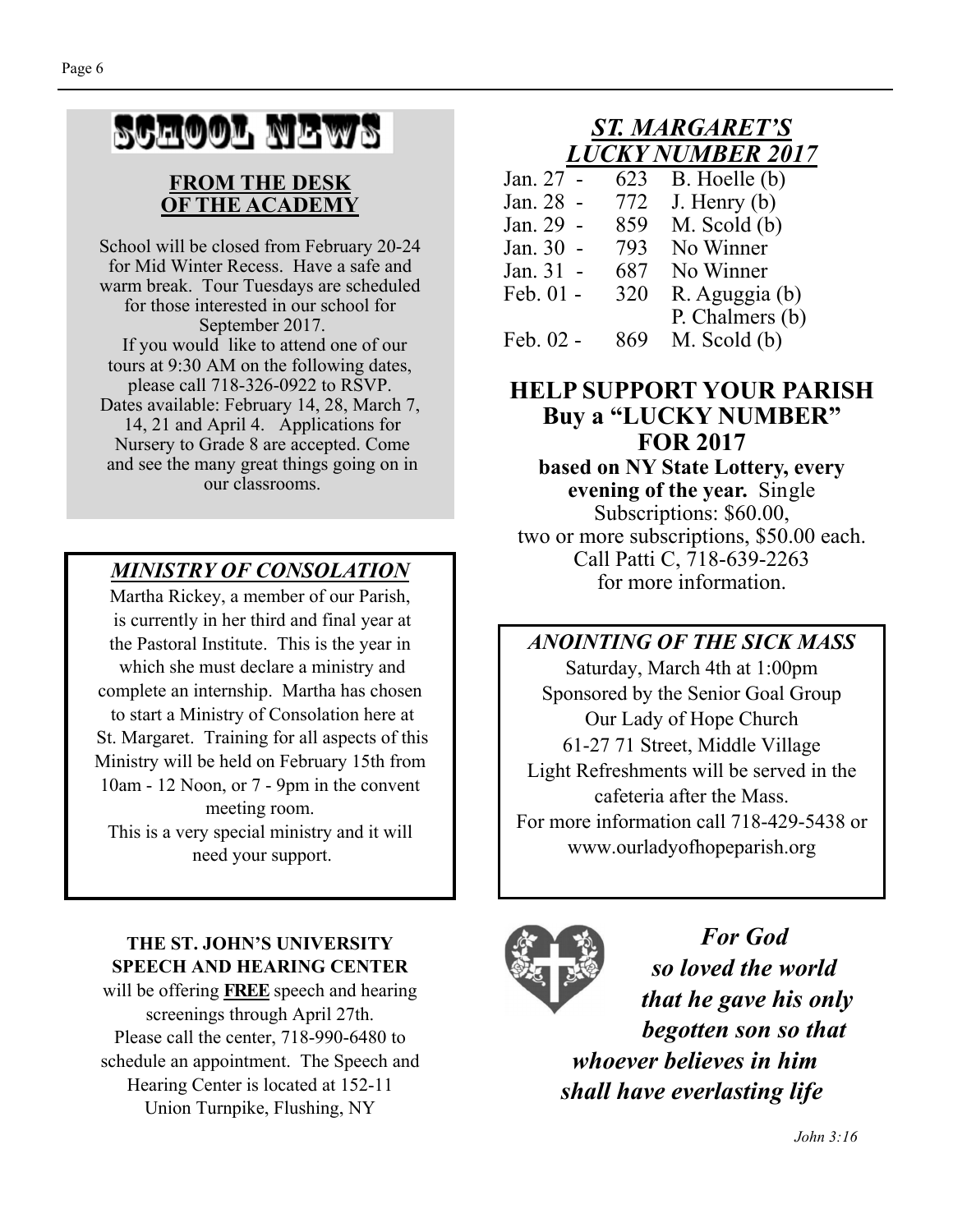# SCHOOL NEWS

#### **FROM THE DESK OF THE ACADEMY**

School will be closed from February 20-24 for Mid Winter Recess. Have a safe and warm break. Tour Tuesdays are scheduled for those interested in our school for September 2017. If you would like to attend one of our tours at 9:30 AM on the following dates, please call 718-326-0922 to RSVP. Dates available: February 14, 28, March 7, 14, 21 and April 4. Applications for Nursery to Grade 8 are accepted. Come and see the many great things going on in our classrooms.

Martha Rickey, a member of our Parish, is currently in her third and final year at the Pastoral Institute. This is the year in which she must declare a ministry and complete an internship. Martha has chosen to start a Ministry of Consolation here at St. Margaret. Training for all aspects of this Ministry will be held on February 15th from 10am - 12 Noon, or 7 - 9pm in the convent meeting room. This is a very special ministry and it will

need your support.

#### **THE ST. JOHN'S UNIVERSITY SPEECH AND HEARING CENTER**

will be offering **FREE** speech and hearing screenings through April 27th. Please call the center, 718-990-6480 to schedule an appointment. The Speech and Hearing Center is located at 152-11 Union Turnpike, Flushing, NY

#### *ST. MARGARET'S LUCKY NUMBER 2017*

| B. Hoelle (b)   |
|-----------------|
|                 |
|                 |
|                 |
|                 |
| R. Aguggia (b)  |
| P. Chalmers (b) |
|                 |
|                 |

#### **HELP SUPPORT YOUR PARISH Buy a "LUCKY NUMBER" FOR 2017 based on NY State Lottery, every evening of the year.** Single Subscriptions: \$60.00, two or more subscriptions, \$50.00 each. Call Patti C, 718-639-2263 MINISTRY OF CONSOLATION<br>for more information.

#### *ANOINTING OF THE SICK MASS*

Saturday, March 4th at 1:00pm Sponsored by the Senior Goal Group Our Lady of Hope Church 61-27 71 Street, Middle Village Light Refreshments will be served in the cafeteria after the Mass. For more information call 718-429-5438 or www.ourladyofhopeparish.org



*For God so loved the world that he gave his only begotten son so that whoever believes in him shall have everlasting life*